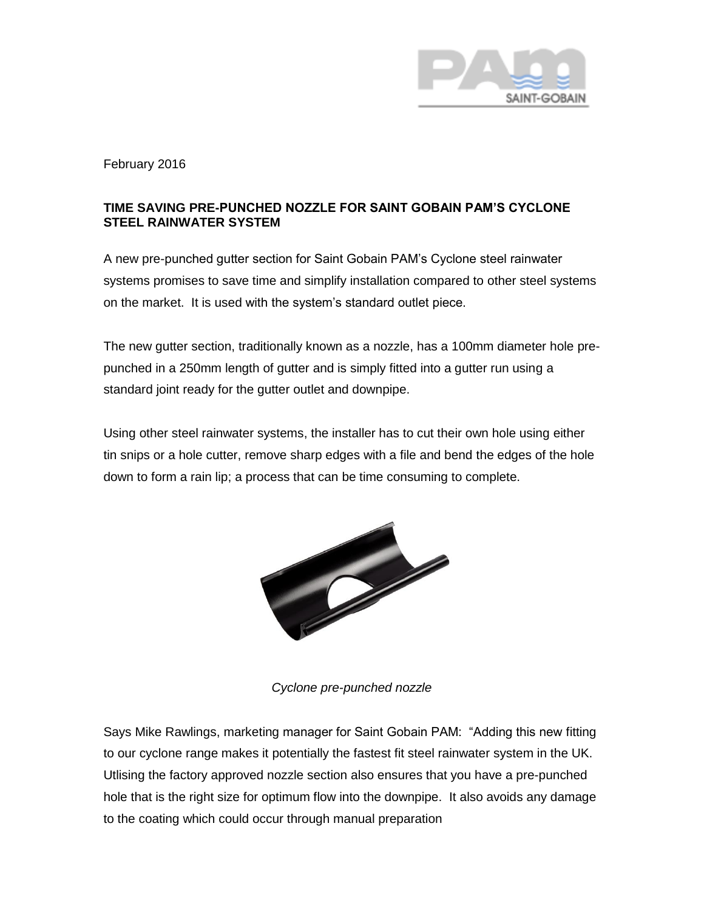

February 2016

## **TIME SAVING PRE-PUNCHED NOZZLE FOR SAINT GOBAIN PAM'S CYCLONE STEEL RAINWATER SYSTEM**

A new pre-punched gutter section for Saint Gobain PAM's Cyclone steel rainwater systems promises to save time and simplify installation compared to other steel systems on the market. It is used with the system's standard outlet piece.

The new gutter section, traditionally known as a nozzle, has a 100mm diameter hole prepunched in a 250mm length of gutter and is simply fitted into a gutter run using a standard joint ready for the gutter outlet and downpipe.

Using other steel rainwater systems, the installer has to cut their own hole using either tin snips or a hole cutter, remove sharp edges with a file and bend the edges of the hole down to form a rain lip; a process that can be time consuming to complete.



*Cyclone pre-punched nozzle*

Says Mike Rawlings, marketing manager for Saint Gobain PAM: "Adding this new fitting to our cyclone range makes it potentially the fastest fit steel rainwater system in the UK. Utlising the factory approved nozzle section also ensures that you have a pre-punched hole that is the right size for optimum flow into the downpipe. It also avoids any damage to the coating which could occur through manual preparation